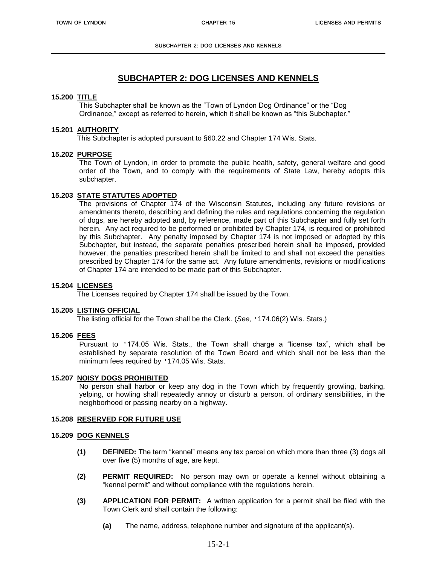# **SUBCHAPTER 2: DOG LICENSES AND KENNELS**

## **15.200 TITLE**

This Subchapter shall be known as the "Town of Lyndon Dog Ordinance" or the "Dog Ordinance," except as referred to herein, which it shall be known as "this Subchapter."

#### **15.201 AUTHORITY**

This Subchapter is adopted pursuant to §60.22 and Chapter 174 Wis. Stats.

## **15.202 PURPOSE**

The Town of Lyndon, in order to promote the public health, safety, general welfare and good order of the Town, and to comply with the requirements of State Law, hereby adopts this subchapter.

## **15.203 STATE STATUTES ADOPTED**

The provisions of Chapter 174 of the Wisconsin Statutes, including any future revisions or amendments thereto, describing and defining the rules and regulations concerning the regulation of dogs, are hereby adopted and, by reference, made part of this Subchapter and fully set forth herein. Any act required to be performed or prohibited by Chapter 174, is required or prohibited by this Subchapter. Any penalty imposed by Chapter 174 is not imposed or adopted by this Subchapter, but instead, the separate penalties prescribed herein shall be imposed, provided however, the penalties prescribed herein shall be limited to and shall not exceed the penalties prescribed by Chapter 174 for the same act. Any future amendments, revisions or modifications of Chapter 174 are intended to be made part of this Subchapter.

## **15.204 LICENSES**

The Licenses required by Chapter 174 shall be issued by the Town.

#### **15.205 LISTING OFFICIAL**

The listing official for the Town shall be the Clerk. (*See,* '174.06(2) Wis. Stats.)

#### **15.206 FEES**

Pursuant to '174.05 Wis. Stats., the Town shall charge a "license tax", which shall be established by separate resolution of the Town Board and which shall not be less than the minimum fees required by '174.05 Wis. Stats.

#### **15.207 NOISY DOGS PROHIBITED**

No person shall harbor or keep any dog in the Town which by frequently growling, barking, yelping, or howling shall repeatedly annoy or disturb a person, of ordinary sensibilities, in the neighborhood or passing nearby on a highway.

#### **15.208 RESERVED FOR FUTURE USE**

#### **15.209 DOG KENNELS**

- **(1) DEFINED:** The term "kennel" means any tax parcel on which more than three (3) dogs all over five (5) months of age, are kept.
- **(2) PERMIT REQUIRED:** No person may own or operate a kennel without obtaining a "kennel permit" and without compliance with the regulations herein.
- **(3) APPLICATION FOR PERMIT:** A written application for a permit shall be filed with the Town Clerk and shall contain the following:
	- **(a)** The name, address, telephone number and signature of the applicant(s).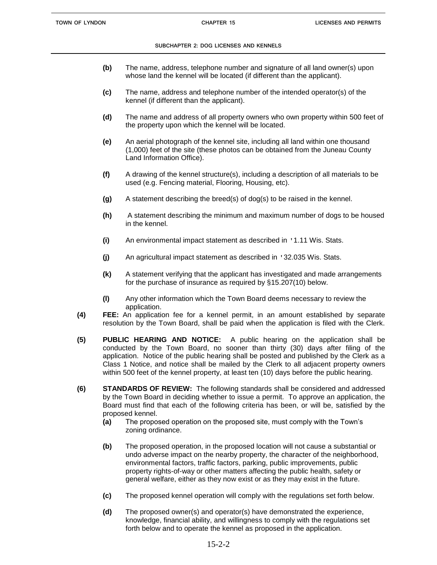- **(b)** The name, address, telephone number and signature of all land owner(s) upon whose land the kennel will be located (if different than the applicant).
- **(c)** The name, address and telephone number of the intended operator(s) of the kennel (if different than the applicant).
- **(d)** The name and address of all property owners who own property within 500 feet of the property upon which the kennel will be located.
- **(e)** An aerial photograph of the kennel site, including all land within one thousand (1,000) feet of the site (these photos can be obtained from the Juneau County Land Information Office).
- **(f)** A drawing of the kennel structure(s), including a description of all materials to be used (e.g. Fencing material, Flooring, Housing, etc).
- **(g)** A statement describing the breed(s) of dog(s) to be raised in the kennel.
- **(h)** A statement describing the minimum and maximum number of dogs to be housed in the kennel.
- **(i)** An environmental impact statement as described in '1.11 Wis. Stats.
- **(j)** An agricultural impact statement as described in '32.035 Wis. Stats.
- **(k)** A statement verifying that the applicant has investigated and made arrangements for the purchase of insurance as required by §15.207(10) below.
- **(l)** Any other information which the Town Board deems necessary to review the application.
- **(4) FEE:** An application fee for a kennel permit, in an amount established by separate resolution by the Town Board, shall be paid when the application is filed with the Clerk.
- **(5) PUBLIC HEARING AND NOTICE:** A public hearing on the application shall be conducted by the Town Board, no sooner than thirty (30) days after filing of the application. Notice of the public hearing shall be posted and published by the Clerk as a Class 1 Notice, and notice shall be mailed by the Clerk to all adjacent property owners within 500 feet of the kennel property, at least ten (10) days before the public hearing.
- **(6) STANDARDS OF REVIEW:** The following standards shall be considered and addressed by the Town Board in deciding whether to issue a permit. To approve an application, the Board must find that each of the following criteria has been, or will be, satisfied by the proposed kennel.
	- **(a)** The proposed operation on the proposed site, must comply with the Town's zoning ordinance.
	- **(b)** The proposed operation, in the proposed location will not cause a substantial or undo adverse impact on the nearby property, the character of the neighborhood, environmental factors, traffic factors, parking, public improvements, public property rights-of-way or other matters affecting the public health, safety or general welfare, either as they now exist or as they may exist in the future.
	- **(c)** The proposed kennel operation will comply with the regulations set forth below.
	- **(d)** The proposed owner(s) and operator(s) have demonstrated the experience, knowledge, financial ability, and willingness to comply with the regulations set forth below and to operate the kennel as proposed in the application.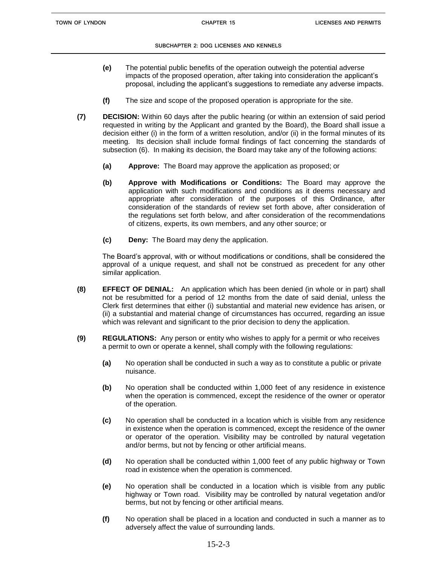- **(e)** The potential public benefits of the operation outweigh the potential adverse impacts of the proposed operation, after taking into consideration the applicant's proposal, including the applicant's suggestions to remediate any adverse impacts.
- **(f)** The size and scope of the proposed operation is appropriate for the site.
- **(7) DECISION:** Within 60 days after the public hearing (or within an extension of said period requested in writing by the Applicant and granted by the Board), the Board shall issue a decision either (i) in the form of a written resolution, and/or (ii) in the formal minutes of its meeting. Its decision shall include formal findings of fact concerning the standards of subsection (6). In making its decision, the Board may take any of the following actions:
	- **(a) Approve:** The Board may approve the application as proposed; or
	- **(b) Approve with Modifications or Conditions:** The Board may approve the application with such modifications and conditions as it deems necessary and appropriate after consideration of the purposes of this Ordinance, after consideration of the standards of review set forth above, after consideration of the regulations set forth below, and after consideration of the recommendations of citizens, experts, its own members, and any other source; or
	- **(c) Deny:** The Board may deny the application.

The Board's approval, with or without modifications or conditions, shall be considered the approval of a unique request, and shall not be construed as precedent for any other similar application.

- **(8) EFFECT OF DENIAL:** An application which has been denied (in whole or in part) shall not be resubmitted for a period of 12 months from the date of said denial, unless the Clerk first determines that either (i) substantial and material new evidence has arisen, or (ii) a substantial and material change of circumstances has occurred, regarding an issue which was relevant and significant to the prior decision to deny the application.
- **(9) REGULATIONS:** Any person or entity who wishes to apply for a permit or who receives a permit to own or operate a kennel, shall comply with the following regulations:
	- **(a)** No operation shall be conducted in such a way as to constitute a public or private nuisance.
	- **(b)** No operation shall be conducted within 1,000 feet of any residence in existence when the operation is commenced, except the residence of the owner or operator of the operation.
	- **(c)** No operation shall be conducted in a location which is visible from any residence in existence when the operation is commenced, except the residence of the owner or operator of the operation. Visibility may be controlled by natural vegetation and/or berms, but not by fencing or other artificial means.
	- **(d)** No operation shall be conducted within 1,000 feet of any public highway or Town road in existence when the operation is commenced.
	- **(e)** No operation shall be conducted in a location which is visible from any public highway or Town road. Visibility may be controlled by natural vegetation and/or berms, but not by fencing or other artificial means.
	- **(f)** No operation shall be placed in a location and conducted in such a manner as to adversely affect the value of surrounding lands.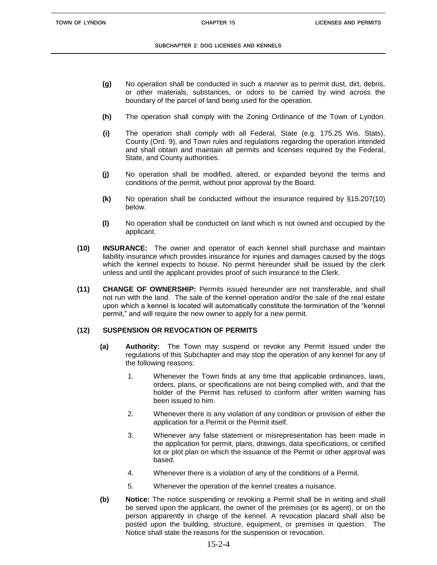- **(g)** No operation shall be conducted in such a manner as to permit dust, dirt, debris, or other materials, substances, or odors to be carried by wind across the boundary of the parcel of land being used for the operation.
- **(h)** The operation shall comply with the Zoning Ordinance of the Town of Lyndon.
- **(i)** The operation shall comply with all Federal, State (e.g. 175.25 Wis. Stats), County (Ord. 9), and Town rules and regulations regarding the operation intended and shall obtain and maintain all permits and licenses required by the Federal, State, and County authorities.
- **(j)** No operation shall be modified, altered, or expanded beyond the terms and conditions of the permit, without prior approval by the Board.
- **(k)** No operation shall be conducted without the insurance required by §15.207(10) below.
- **(l)** No operation shall be conducted on land which is not owned and occupied by the applicant.
- **(10) INSURANCE:** The owner and operator of each kennel shall purchase and maintain liability insurance which provides insurance for injuries and damages caused by the dogs which the kennel expects to house. No permit hereunder shall be issued by the clerk unless and until the applicant provides proof of such insurance to the Clerk.
- **(11) CHANGE OF OWNERSHIP:** Permits issued hereunder are not transferable, and shall not run with the land. The sale of the kennel operation and/or the sale of the real estate upon which a kennel is located will automatically constitute the termination of the "kennel permit," and will require the new owner to apply for a new permit.

# **(12) SUSPENSION OR REVOCATION OF PERMITS**

- **(a) Authority:** The Town may suspend or revoke any Permit issued under the regulations of this Subchapter and may stop the operation of any kennel for any of the following reasons:
	- 1. Whenever the Town finds at any time that applicable ordinances, laws, orders, plans, or specifications are not being complied with, and that the holder of the Permit has refused to conform after written warning has been issued to him.
	- 2. Whenever there is any violation of any condition or provision of either the application for a Permit or the Permit itself.
	- 3. Whenever any false statement or misrepresentation has been made in the application for permit, plans, drawings, data specifications, or certified lot or plot plan on which the issuance of the Permit or other approval was based.
	- 4. Whenever there is a violation of any of the conditions of a Permit.
	- 5. Whenever the operation of the kennel creates a nuisance.
- **(b) Notice:** The notice suspending or revoking a Permit shall be in writing and shall be served upon the applicant, the owner of the premises (or its agent), or on the person apparently in charge of the kennel. A revocation placard shall also be posted upon the building, structure, equipment, or premises in question. The Notice shall state the reasons for the suspension or revocation.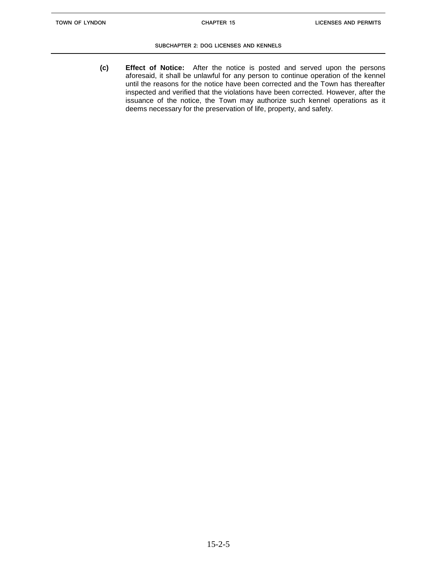**(c) Effect of Notice:** After the notice is posted and served upon the persons aforesaid, it shall be unlawful for any person to continue operation of the kennel until the reasons for the notice have been corrected and the Town has thereafter inspected and verified that the violations have been corrected. However, after the issuance of the notice, the Town may authorize such kennel operations as it deems necessary for the preservation of life, property, and safety.